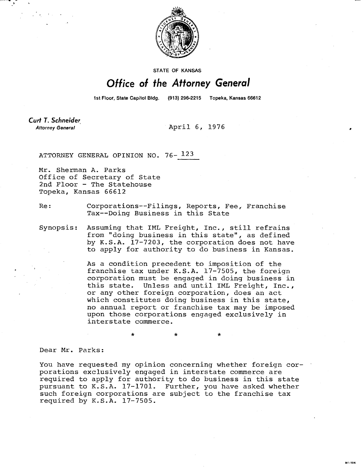

STATE OF KANSAS

## Office of the Attorney General

1st Floor, State Capitol Bldg. (913) 296-2215 Topeka, Kansas 66612

Curt T. Schneider **Attorney General** 

April 6, 1976

ATTORNEY GENERAL OPINION NO. 76- 123

Mr. Sherman A. Parks Office of Secretary of State 2nd Floor - The Statehouse Topeka, Kansas 66612

Re: Corporations--Filings, Reports, Fee, Franchise Tax--Doing Business in this State

Synopsis: Assuming that IML Freight, Inc., still refrains from "doing business in this state", as defined by K.S.A. 17-7203, the corporation does not have to apply for authority to do business in Kansas.

> As a condition precedent to imposition of the franchise tax under K.S.A. 17-7505, the foreign corporation must be engaged in doing business in this state. Unless and until IML Freight, Inc., or any other foreign corporation, does an act which constitutes doing business in this state, no annual report or franchise tax may be imposed upon those corporations engaged exclusively in interstate commerce.

> > **MI-104**

Dear Mr. Parks:

You have requested my opinion concerning whether foreign corporations exclusively engaged in interstate commerce are required to apply for authority to do business in this state pursuant to K.S.A. 17-1701. Further, you have asked whether such foreign corporations are subject to the franchise tax required by K.S.A. 17-7505.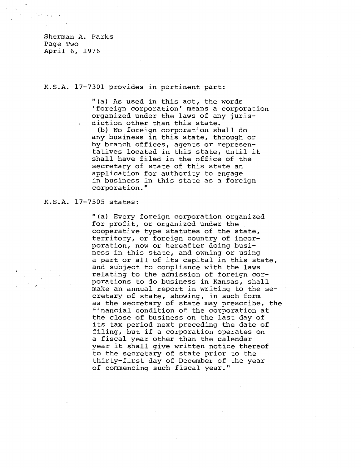Sherman A. Parks Page Two April 6, 1976

## K.S.A. 17-7301 provides in pertinent part:

"(a) As used in this act, the words 'foreign corporation' means a corporation organized under the laws of any jurisdiction other than this state.

(b) No foreign corporation shall do any business in this state, through or by branch offices, agents or representatives located in this state, until it shall have filed in the office of the secretary of state of this state an application for authority to engage in business in this state as a foreign corporation."

## K.S.A. 17-7505 states:

"(a) Every foreign corporation organized for profit, or organized under the cooperative type statutes of the state, territory, or foreign country of incorporation, now or hereafter doing business in this state, and owning or using a part or all of its capital in this state, and subject to compliance with the laws relating to the admission of foreign corporations to do business in Kansas, shall make an annual report in writing to the secretary of state, showing, in such form as the secretary of state may prescribe, the financial condition of the corporation at the close of business on the last day of its tax period next preceding the date of filing, but if a corporation operates on a fiscal year other than the calendar year it shall give written notice thereof to the secretary of state prior to the thirty-first day of December of the year of commencing such fiscal year."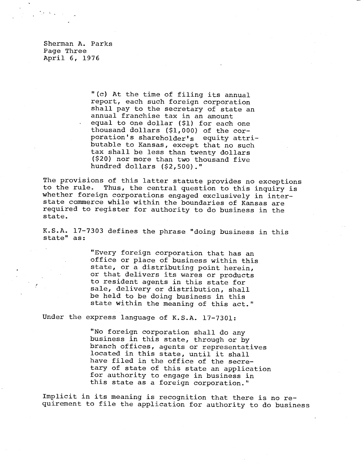Sherman A. Parks Page Three April 6, 1976

 $\mathcal{A}=\mathcal{A}$  .

"(c) At the time of filing its annual report, each such foreign corporation shall pay to the secretary of state an annual franchise tax in an amount equal to one dollar (\$1) for each one thousand dollars (\$1,000) of the corporation's shareholder's equity attributable to Kansas, except that no such tax shall be less than twenty dollars (\$20) nor more than two thousand five hundred dollars (\$2,500)."

The provisions of this latter statute provides no exceptions to the rule. Thus, the central question to this inquiry is whether foreign corporations engaged exclusively in interstate commerce while within the boundaries of Kansas are required to register for authority to do business in the state.

K.S.A. 17-7303 defines the phrase "doing business in this state" as:

> "Every foreign corporation that has an office or place of business within this state, or a distributing point herein, or that delivers its wares or products to resident agents in this state for sale, delivery or distribution, shall be held to be doing business in this state within the meaning of this act."

Under the express language of K.S.A. 17-7301:

"No foreign corporation shall do any business in this state, through or by branch offices, agents or representatives located in this state, until it shall have filed in the office of the secretary of state of this state an application for authority to engage in business in this state as a foreign corporation."

Implicit in its meaning is recognition that there is no requirement to file the application for authority to do business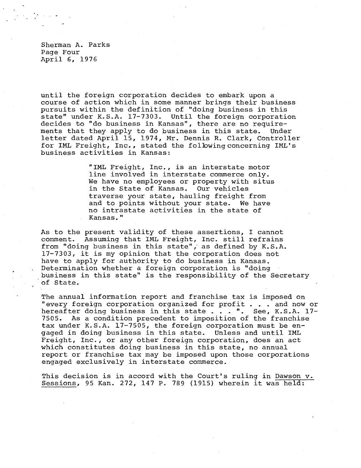Sherman A. Parks Page Four April 6, 1976

until the foreign corporation decides to embark upon a course of action which in some manner brings their business pursuits within the definition of "doing business in this state" under K.S.A. 17-7303. Until the foreign corporation decides to "do business in Kansas", there are no requirements that they apply to do business in this state. Under letter dated April 15, 1974, Mr. Dennis R. Clark, Controller for IML Freight, Inc., stated the following concerning IML's business activities in Kansas:

> "IML Freight, Inc., is an interstate motor line involved in interstate commerce only. We have no employees or property with situs in the State of Kansas. Our vehicles traverse your state, hauling freight from and to points without your state. We have no intrastate activities in the state of Kansas."

As to the present validity of these assertions, I cannot comment. Assuming that IML Freight, Inc. still refrains from "doing business in this state",' as defined by K.S.A. 17-7303, it is my opinion that the corporation does not have to apply for authority to do business in Kansas. Determination whether a foreign corporation is "doing business in this state" is the responsibility of the Secretary of State.

The annual information report and franchise tax is imposed on "every foreign corporation organized for profit . . . and now or hereafter doing business in this state . . . ". See, K.S.A. 17-7505. As a condition precedent to imposition of the franchise tax under K.S.A. 17-7505, the foreign corporation must be engaged in doing business in this state. Unless and until IML Freight, Inc., or any other foreign corporation, does an act which constitutes doing business in this state, no annual report or franchise tax may be imposed upon those corporations engaged exclusively in interstate commerce.

This decision is in accord with the Court's ruling in Dawson v. Sessions, 95 Kan. 272, 147 P. 789 (1915) wherein it was held: